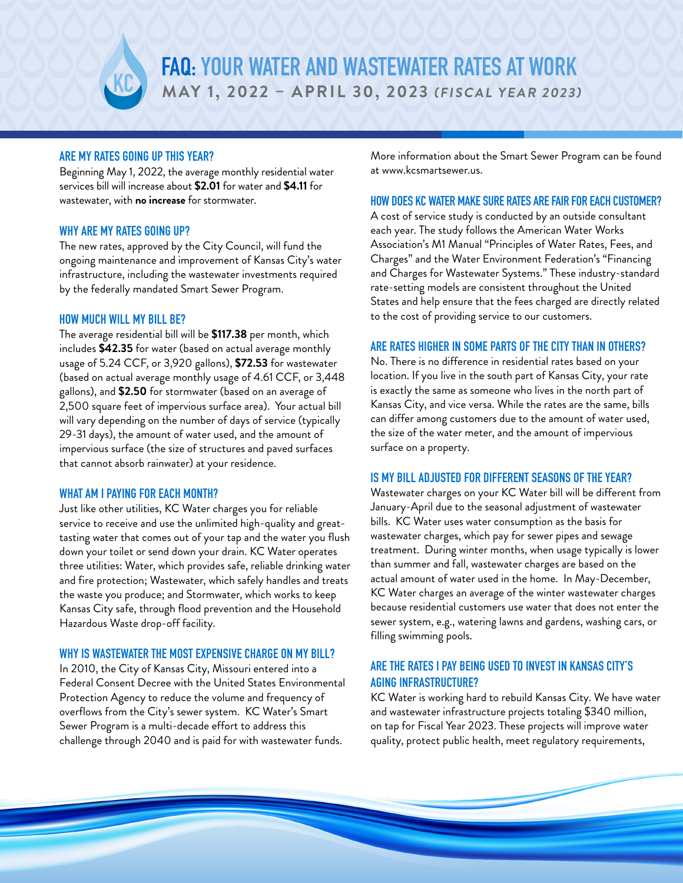

## ARE MY RATES GOING UP THIS YEAR?

Beginning May 1, 2022, the average monthly residential water services bill will increase about **\$2.01** for water and **\$4.11** for wastewater, with **no increase** for stormwater.

### WHY ARE MY RATES GOING UP?

The new rates, approved by the City Council, will fund the ongoing maintenance and improvement of Kansas City's water infrastructure, including the wastewater investments required by the federally mandated Smart Sewer Program.

### HOW MUCH WILL MY BILL BE?

The average residential bill will be **\$117.38** per month, which includes **\$42.35** for water (based on actual average monthly usage of 5.24 CCF, or 3,920 gallons), **\$72.53** for wastewater (based on actual average monthly usage of 4.61 CCF, or 3,448 gallons), and **\$2.50** for stormwater (based on an average of 2,500 square feet of impervious surface area). Your actual bill will vary depending on the number of days of service (typically 29-31 days), the amount of water used, and the amount of impervious surface (the size of structures and paved surfaces that cannot absorb rainwater) at your residence.

### WHAT AM I PAYING FOR EACH MONTH?

Just like other utilities, KC Water charges you for reliable service to receive and use the unlimited high-quality and greattasting water that comes out of your tap and the water you flush down your toilet or send down your drain. KC Water operates three utilities: Water, which provides safe, reliable drinking water and fire protection; Wastewater, which safely handles and treats the waste you produce; and Stormwater, which works to keep Kansas City safe, through flood prevention and the Household Hazardous Waste drop-off facility.

## WHY IS WASTEWATER THE MOST EXPENSIVE CHARGE ON MY BILL?

In 2010, the City of Kansas City, Missouri entered into a Federal Consent Decree with the United States Environmental Protection Agency to reduce the volume and frequency of overflows from the City's sewer system. KC Water's Smart Sewer Program is a multi-decade effort to address this challenge through 2040 and is paid for with wastewater funds.

More information about the Smart Sewer Program can be found at www.kcsmartsewer.us.

### HOW DOES KC WATER MAKE SURE RATES ARE FAIR FOR EACH CUSTOMER?

A cost of service study is conducted by an outside consultant each year. The study follows the American Water Works Association's M1 Manual "Principles of Water Rates, Fees, and Charges" and the Water Environment Federation's "Financing and Charges for Wastewater Systems." These industry-standard rate-setting models are consistent throughout the United States and help ensure that the fees charged are directly related to the cost of providing service to our customers.

## ARE RATES HIGHER IN SOME PARTS OF THE CITY THAN IN OTHERS?

No. There is no difference in residential rates based on your location. If you live in the south part of Kansas City, your rate is exactly the same as someone who lives in the north part of Kansas City, and vice versa. While the rates are the same, bills can differ among customers due to the amount of water used, the size of the water meter, and the amount of impervious surface on a property.

### IS MY BILL ADJUSTED FOR DIFFERENT SEASONS OF THE YEAR?

Wastewater charges on your KC Water bill will be different from January-April due to the seasonal adjustment of wastewater bills. KC Water uses water consumption as the basis for wastewater charges, which pay for sewer pipes and sewage treatment. During winter months, when usage typically is lower than summer and fall, wastewater charges are based on the actual amount of water used in the home. In May-December, KC Water charges an average of the winter wastewater charges because residential customers use water that does not enter the sewer system, e.g., watering lawns and gardens, washing cars, or filling swimming pools.

# ARE THE RATES I PAY BEING USED TO INVEST IN KANSAS CITY'S AGING INFRASTRUCTURE?

KC Water is working hard to rebuild Kansas City. We have water and wastewater infrastructure projects totaling \$340 million, on tap for Fiscal Year 2023. These projects will improve water quality, protect public health, meet regulatory requirements,